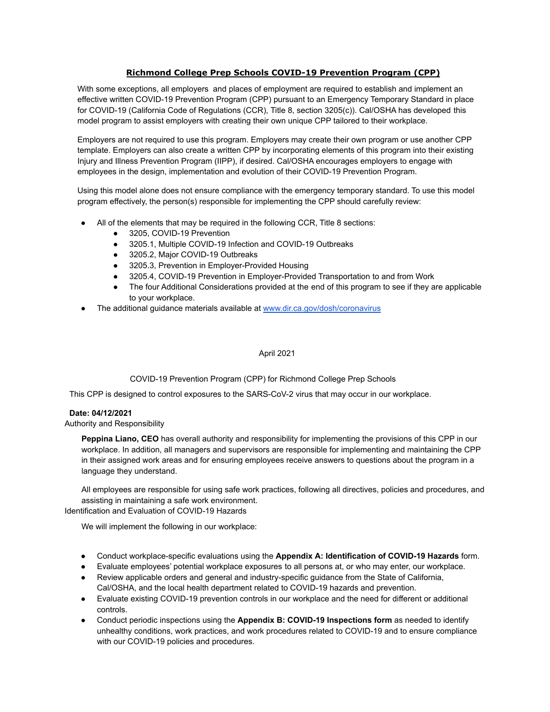# **Richmond College Prep Schools COVID-19 Prevention Program (CPP)**

With some exceptions, all employers and places of employment are required to establish and implement an effective written COVID-19 Prevention Program (CPP) pursuant to an Emergency Temporary Standard in place for COVID-19 (California Code of Regulations (CCR), Title 8, section 3205(c)). Cal/OSHA has developed this model program to assist employers with creating their own unique CPP tailored to their workplace.

Employers are not required to use this program. Employers may create their own program or use another CPP template. Employers can also create a written CPP by incorporating elements of this program into their existing Injury and Illness Prevention Program (IIPP), if desired. Cal/OSHA encourages employers to engage with employees in the design, implementation and evolution of their COVID-19 Prevention Program.

Using this model alone does not ensure compliance with the emergency temporary standard. To use this model program effectively, the person(s) responsible for implementing the CPP should carefully review:

- All of the elements that may be required in the following CCR, Title 8 sections:
	- 3205, COVID-19 Prevention
	- 3205.1, Multiple COVID-19 Infection and COVID-19 Outbreaks
	- 3205.2, Major COVID-19 Outbreaks
	- 3205.3, Prevention in Employer-Provided Housing
	- 3205.4, COVID-19 Prevention in Employer-Provided Transportation to and from Work
	- The four Additional Considerations provided at the end of this program to see if they are applicable to your workplace.
- The additional guidance materials available at [www.dir.ca.gov/dosh/coronavirus](http://www.dir.ca.gov/dosh/coronavirus)

### April 2021

COVID-19 Prevention Program (CPP) for Richmond College Prep Schools

This CPP is designed to control exposures to the SARS-CoV-2 virus that may occur in our workplace.

### **Date: 04/12/2021**

### Authority and Responsibility

**Peppina Liano, CEO** has overall authority and responsibility for implementing the provisions of this CPP in our workplace. In addition, all managers and supervisors are responsible for implementing and maintaining the CPP in their assigned work areas and for ensuring employees receive answers to questions about the program in a language they understand.

All employees are responsible for using safe work practices, following all directives, policies and procedures, and assisting in maintaining a safe work environment. Identification and Evaluation of COVID-19 Hazards

We will implement the following in our workplace:

- Conduct workplace-specific evaluations using the **Appendix A: Identification of COVID-19 Hazards** form.
- Evaluate employees' potential workplace exposures to all persons at, or who may enter, our workplace.
- Review applicable orders and general and industry-specific guidance from the State of California, Cal/OSHA, and the local health department related to COVID-19 hazards and prevention.
- Evaluate existing COVID-19 prevention controls in our workplace and the need for different or additional controls.
- Conduct periodic inspections using the **Appendix B: COVID-19 Inspections form** as needed to identify unhealthy conditions, work practices, and work procedures related to COVID-19 and to ensure compliance with our COVID-19 policies and procedures.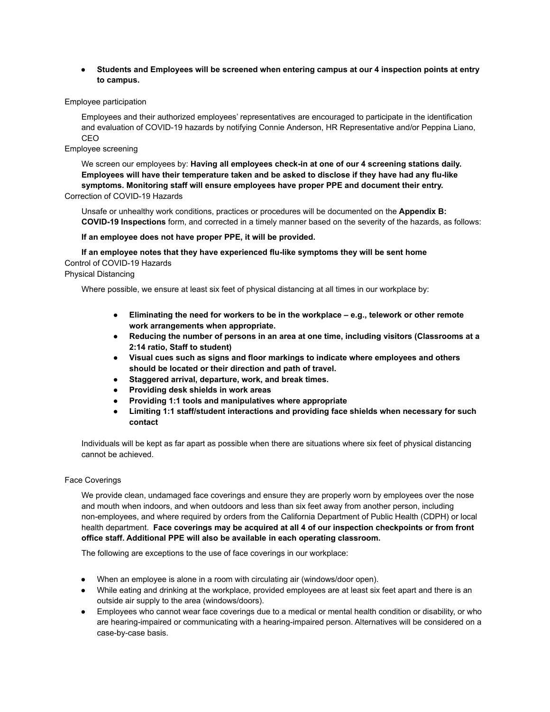● **Students and Employees will be screened when entering campus at our 4 inspection points at entry to campus.**

#### Employee participation

Employees and their authorized employees' representatives are encouraged to participate in the identification and evaluation of COVID-19 hazards by notifying Connie Anderson, HR Representative and/or Peppina Liano, CEO

# Employee screening

We screen our employees by: **Having all employees check-in at one of our 4 screening stations daily. Employees will have their temperature taken and be asked to disclose if they have had any flu-like symptoms. Monitoring staff will ensure employees have proper PPE and document their entry.** Correction of COVID-19 Hazards

Unsafe or unhealthy work conditions, practices or procedures will be documented on the **Appendix B:**

**COVID-19 Inspections** form, and corrected in a timely manner based on the severity of the hazards, as follows:

### **If an employee does not have proper PPE, it will be provided.**

**If an employee notes that they have experienced flu-like symptoms they will be sent home** Control of COVID-19 Hazards Physical Distancing

Where possible, we ensure at least six feet of physical distancing at all times in our workplace by:

- **Eliminating the need for workers to be in the workplace e.g., telework or other remote work arrangements when appropriate.**
- **Reducing the number of persons in an area at one time, including visitors (Classrooms at a 2:14 ratio, Staff to student)**
- **Visual cues such as signs and floor markings to indicate where employees and others should be located or their direction and path of travel.**
- **Staggered arrival, departure, work, and break times.**
- **Providing desk shields in work areas**
- **Providing 1:1 tools and manipulatives where appropriate**
- **Limiting 1:1 staff/student interactions and providing face shields when necessary for such contact**

Individuals will be kept as far apart as possible when there are situations where six feet of physical distancing cannot be achieved.

## Face Coverings

We provide clean, undamaged face coverings and ensure they are properly worn by employees over the nose and mouth when indoors, and when outdoors and less than six feet away from another person, including non-employees, and where required by orders from the California Department of Public Health (CDPH) or local health department. **Face coverings may be acquired at all 4 of our inspection checkpoints or from front office staff. Additional PPE will also be available in each operating classroom.**

The following are exceptions to the use of face coverings in our workplace:

- When an employee is alone in a room with circulating air (windows/door open).
- While eating and drinking at the workplace, provided employees are at least six feet apart and there is an outside air supply to the area (windows/doors).
- Employees who cannot wear face coverings due to a medical or mental health condition or disability, or who are hearing-impaired or communicating with a hearing-impaired person. Alternatives will be considered on a case-by-case basis.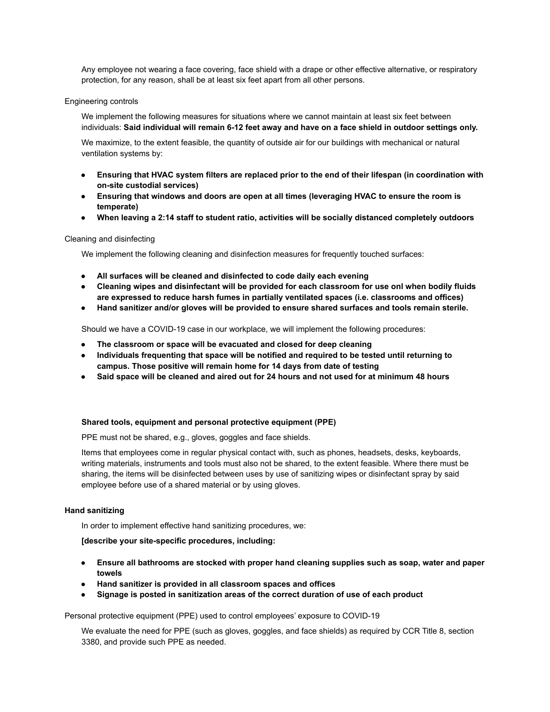Any employee not wearing a face covering, face shield with a drape or other effective alternative, or respiratory protection, for any reason, shall be at least six feet apart from all other persons.

#### Engineering controls

We implement the following measures for situations where we cannot maintain at least six feet between individuals: **Said individual will remain 6-12 feet away and have on a face shield in outdoor settings only.**

We maximize, to the extent feasible, the quantity of outside air for our buildings with mechanical or natural ventilation systems by:

- **Ensuring that HVAC system filters are replaced prior to the end of their lifespan (in coordination with on-site custodial services)**
- **● Ensuring that windows and doors are open at all times (leveraging HVAC to ensure the room is temperate)**
- **● When leaving a 2:14 staff to student ratio, activities will be socially distanced completely outdoors**

#### Cleaning and disinfecting

We implement the following cleaning and disinfection measures for frequently touched surfaces:

- **All surfaces will be cleaned and disinfected to code daily each evening**
- **● Cleaning wipes and disinfectant will be provided for each classroom for use onl when bodily fluids are expressed to reduce harsh fumes in partially ventilated spaces (i.e. classrooms and offices)**
- **● Hand sanitizer and/or gloves will be provided to ensure shared surfaces and tools remain sterile.**

Should we have a COVID-19 case in our workplace, we will implement the following procedures:

- **● The classroom or space will be evacuated and closed for deep cleaning**
- **● Individuals frequenting that space will be notified and required to be tested until returning to campus. Those positive will remain home for 14 days from date of testing**
- **● Said space will be cleaned and aired out for 24 hours and not used for at minimum 48 hours**

#### **Shared tools, equipment and personal protective equipment (PPE)**

PPE must not be shared, e.g., gloves, goggles and face shields.

Items that employees come in regular physical contact with, such as phones, headsets, desks, keyboards, writing materials, instruments and tools must also not be shared, to the extent feasible. Where there must be sharing, the items will be disinfected between uses by use of sanitizing wipes or disinfectant spray by said employee before use of a shared material or by using gloves.

### **Hand sanitizing**

In order to implement effective hand sanitizing procedures, we:

**[describe your site-specific procedures, including:**

- **Ensure all bathrooms are stocked with proper hand cleaning supplies such as soap, water and paper towels**
- **● Hand sanitizer is provided in all classroom spaces and offices**
- **● Signage is posted in sanitization areas of the correct duration of use of each product**

Personal protective equipment (PPE) used to control employees' exposure to COVID-19

We evaluate the need for PPE (such as gloves, goggles, and face shields) as required by CCR Title 8, section 3380, and provide such PPE as needed.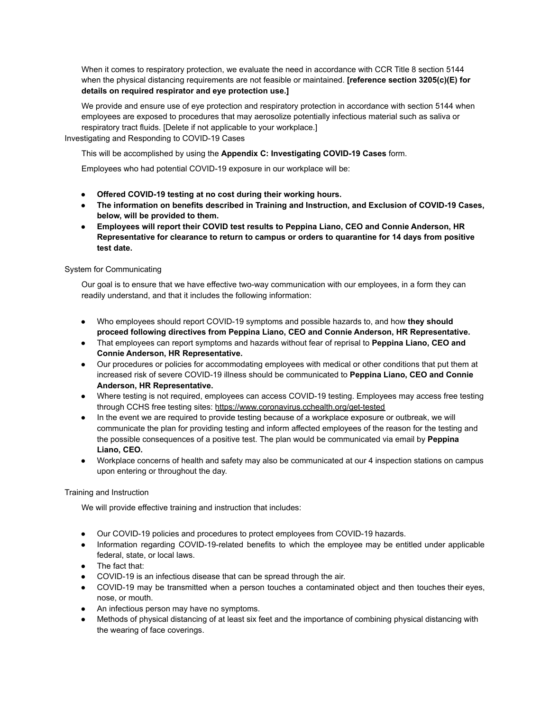When it comes to respiratory protection, we evaluate the need in accordance with CCR Title 8 section 5144 when the physical distancing requirements are not feasible or maintained. **[reference section 3205(c)(E) for details on required respirator and eye protection use.]**

We provide and ensure use of eye protection and respiratory protection in accordance with section 5144 when employees are exposed to procedures that may aerosolize potentially infectious material such as saliva or respiratory tract fluids. [Delete if not applicable to your workplace.] Investigating and Responding to COVID-19 Cases

This will be accomplished by using the **Appendix C: Investigating COVID-19 Cases** form.

Employees who had potential COVID-19 exposure in our workplace will be:

- **Offered COVID-19 testing at no cost during their working hours.**
- **The information on benefits described in Training and Instruction, and Exclusion of COVID-19 Cases, below, will be provided to them.**
- **● Employees will report their COVID test results to Peppina Liano, CEO and Connie Anderson, HR Representative for clearance to return to campus or orders to quarantine for 14 days from positive test date.**

# System for Communicating

Our goal is to ensure that we have effective two-way communication with our employees, in a form they can readily understand, and that it includes the following information:

- Who employees should report COVID-19 symptoms and possible hazards to, and how **they should proceed following directives from Peppina Liano, CEO and Connie Anderson, HR Representative.**
- That employees can report symptoms and hazards without fear of reprisal to **Peppina Liano, CEO and Connie Anderson, HR Representative.**
- Our procedures or policies for accommodating employees with medical or other conditions that put them at increased risk of severe COVID-19 illness should be communicated to **Peppina Liano, CEO and Connie Anderson, HR Representative.**
- Where testing is not required, employees can access COVID-19 testing. Employees may access free testing through CCHS free testing sites: <https://www.coronavirus.cchealth.org/get-tested>
- In the event we are required to provide testing because of a workplace exposure or outbreak, we will communicate the plan for providing testing and inform affected employees of the reason for the testing and the possible consequences of a positive test. The plan would be communicated via email by **Peppina Liano, CEO.**
- Workplace concerns of health and safety may also be communicated at our 4 inspection stations on campus upon entering or throughout the day.

# Training and Instruction

We will provide effective training and instruction that includes:

- Our COVID-19 policies and procedures to protect employees from COVID-19 hazards.
- Information regarding COVID-19-related benefits to which the employee may be entitled under applicable federal, state, or local laws.
- The fact that:
- COVID-19 is an infectious disease that can be spread through the air.
- COVID-19 may be transmitted when a person touches a contaminated object and then touches their eyes, nose, or mouth.
- An infectious person may have no symptoms.
- Methods of physical distancing of at least six feet and the importance of combining physical distancing with the wearing of face coverings.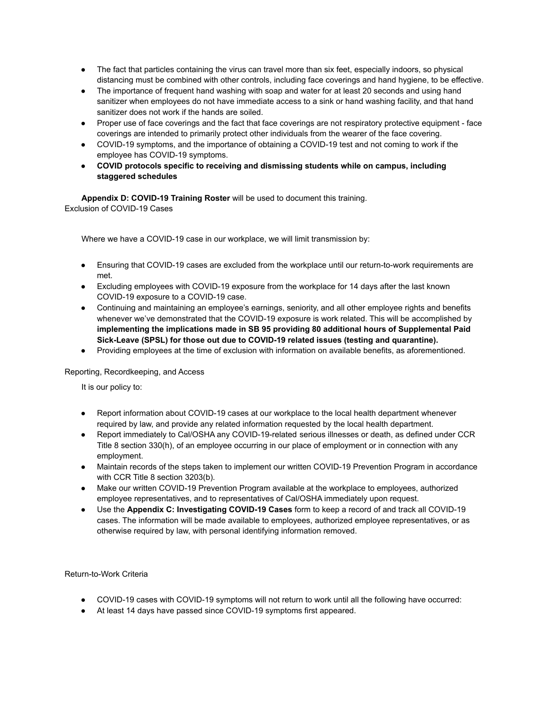- The fact that particles containing the virus can travel more than six feet, especially indoors, so physical distancing must be combined with other controls, including face coverings and hand hygiene, to be effective.
- The importance of frequent hand washing with soap and water for at least 20 seconds and using hand sanitizer when employees do not have immediate access to a sink or hand washing facility, and that hand sanitizer does not work if the hands are soiled.
- Proper use of face coverings and the fact that face coverings are not respiratory protective equipment face coverings are intended to primarily protect other individuals from the wearer of the face covering.
- COVID-19 symptoms, and the importance of obtaining a COVID-19 test and not coming to work if the employee has COVID-19 symptoms.
- **COVID protocols specific to receiving and dismissing students while on campus, including staggered schedules**

**Appendix D: COVID-19 Training Roster** will be used to document this training. Exclusion of COVID-19 Cases

Where we have a COVID-19 case in our workplace, we will limit transmission by:

- Ensuring that COVID-19 cases are excluded from the workplace until our return-to-work requirements are met.
- Excluding employees with COVID-19 exposure from the workplace for 14 days after the last known COVID-19 exposure to a COVID-19 case.
- Continuing and maintaining an employee's earnings, seniority, and all other employee rights and benefits whenever we've demonstrated that the COVID-19 exposure is work related. This will be accomplished by **implementing the implications made in SB 95 providing 80 additional hours of Supplemental Paid Sick-Leave (SPSL) for those out due to COVID-19 related issues (testing and quarantine).**
- Providing employees at the time of exclusion with information on available benefits, as aforementioned.

Reporting, Recordkeeping, and Access

It is our policy to:

- Report information about COVID-19 cases at our workplace to the local health department whenever required by law, and provide any related information requested by the local health department.
- Report immediately to Cal/OSHA any COVID-19-related serious illnesses or death, as defined under CCR Title 8 section 330(h), of an employee occurring in our place of employment or in connection with any employment.
- Maintain records of the steps taken to implement our written COVID-19 Prevention Program in accordance with CCR Title 8 section 3203(b).
- Make our written COVID-19 Prevention Program available at the workplace to employees, authorized employee representatives, and to representatives of Cal/OSHA immediately upon request.
- Use the **Appendix C: Investigating COVID-19 Cases** form to keep a record of and track all COVID-19 cases. The information will be made available to employees, authorized employee representatives, or as otherwise required by law, with personal identifying information removed.

Return-to-Work Criteria

- COVID-19 cases with COVID-19 symptoms will not return to work until all the following have occurred:
- At least 14 days have passed since COVID-19 symptoms first appeared.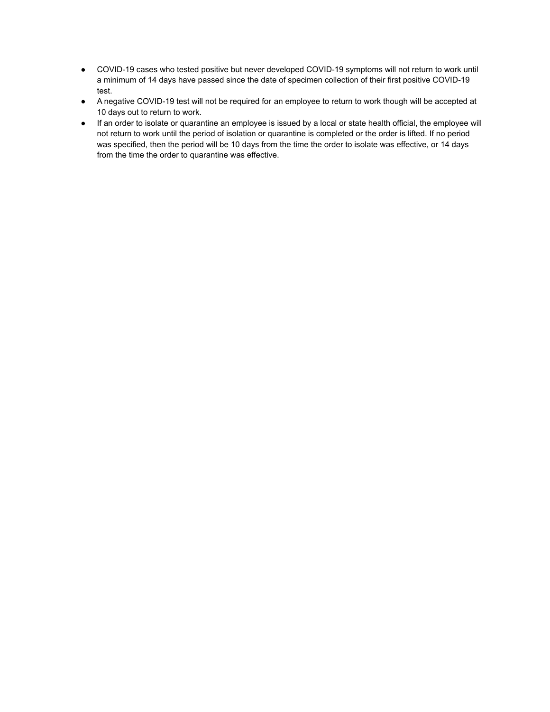- COVID-19 cases who tested positive but never developed COVID-19 symptoms will not return to work until a minimum of 14 days have passed since the date of specimen collection of their first positive COVID-19 test.
- A negative COVID-19 test will not be required for an employee to return to work though will be accepted at 10 days out to return to work.
- If an order to isolate or quarantine an employee is issued by a local or state health official, the employee will not return to work until the period of isolation or quarantine is completed or the order is lifted. If no period was specified, then the period will be 10 days from the time the order to isolate was effective, or 14 days from the time the order to quarantine was effective.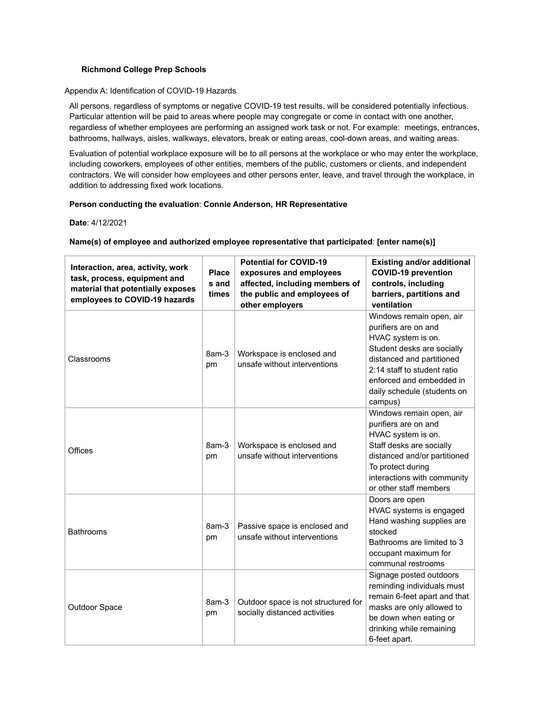# **Richmond College Prep Schools**

#### Appendix A: Identification of COVID-19 Hazards

All persons, regardless of symptoms or negative COVID-19 test results, will be considered potentially infectious. Particular attention will be paid to areas where people may congregate or come in contact with one another, regardless of whether employees are performing an assigned work task or not. For example: meetings, entrances, bathrooms, hallways, aisles, walkways, elevators, break or eating areas, cool-down areas, and waiting areas.

Evaluation of potential workplace exposure will be to all persons at the workplace or who may enter the workplace, including coworkers, employees of other entities, members of the public, customers or clients, and independent contractors. We will consider how employees and other persons enter, leave, and travel through the workplace, in addition to addressing fixed work locations.

### **Person conducting the evaluation**: **Connie Anderson, HR Representative**

#### **Date**: 4/12/2021

# **Name(s) of employee and authorized employee representative that participated**: **[enter name(s)]**

| Interaction, area, activity, work<br>task, process, equipment and<br>material that potentially exposes<br>employees to COVID-19 hazards | <b>Place</b><br>s and<br>times | <b>Potential for COVID-19</b><br>exposures and employees<br>affected, including members of<br>the public and employees of | <b>Existing and/or additional</b><br><b>COVID-19 prevention</b><br>controls, including<br>barriers, partitions and                                                                                                                                    |
|-----------------------------------------------------------------------------------------------------------------------------------------|--------------------------------|---------------------------------------------------------------------------------------------------------------------------|-------------------------------------------------------------------------------------------------------------------------------------------------------------------------------------------------------------------------------------------------------|
| Classrooms                                                                                                                              | 8am-3<br>pm                    | other employers<br>Workspace is enclosed and<br>unsafe without interventions                                              | ventilation<br>Windows remain open, air<br>purifiers are on and<br>HVAC system is on.<br>Student desks are socially<br>distanced and partitioned<br>2:14 staff to student ratio<br>enforced and embedded in<br>daily schedule (students on<br>campus) |
| Offices                                                                                                                                 | 8am-3<br>pm                    | Workspace is enclosed and<br>unsafe without interventions                                                                 | Windows remain open, air<br>purifiers are on and<br>HVAC system is on.<br>Staff desks are socially<br>distanced and/or partitioned<br>To protect during<br>interactions with community<br>or other staff members                                      |
| <b>Bathrooms</b>                                                                                                                        | 8am-3<br>pm                    | Passive space is enclosed and<br>unsafe without interventions                                                             | Doors are open<br>HVAC systems is engaged<br>Hand washing supplies are<br>stocked<br>Bathrooms are limited to 3<br>occupant maximum for<br>communal restrooms                                                                                         |
| Outdoor Space                                                                                                                           | 8am-3<br>pm                    | Outdoor space is not structured for<br>socially distanced activities                                                      | Signage posted outdoors<br>reminding individuals must<br>remain 6-feet apart and that<br>masks are only allowed to<br>be down when eating or<br>drinking while remaining<br>6-feet apart.                                                             |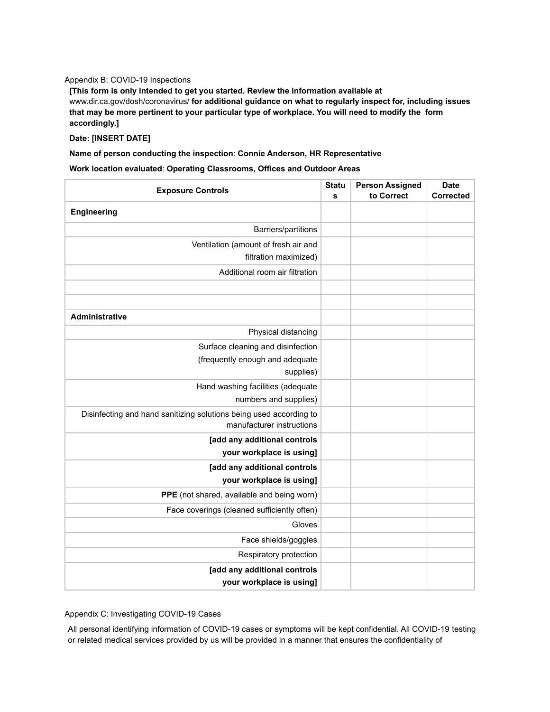# Appendix B: COVID-19 Inspections

**[This form is only intended to get you started. Review the information available at** www.dir.ca.gov/dosh/coronavirus/ **for additional guidance on what to regularly inspect for, including issues that may be more pertinent to your particular type of workplace. You will need to modify the form accordingly.]**

### **Date: [INSERT DATE]**

**Name of person conducting the inspection**: **Connie Anderson, HR Representative**

**Work location evaluated**: **Operating Classrooms, Offices and Outdoor Areas**

| <b>Exposure Controls</b>                                                                        |  | <b>Person Assigned</b> | <b>Date</b>      |
|-------------------------------------------------------------------------------------------------|--|------------------------|------------------|
|                                                                                                 |  | to Correct             | <b>Corrected</b> |
| Engineering                                                                                     |  |                        |                  |
| Barriers/partitions                                                                             |  |                        |                  |
| Ventilation (amount of fresh air and                                                            |  |                        |                  |
| filtration maximized)                                                                           |  |                        |                  |
| Additional room air filtration                                                                  |  |                        |                  |
|                                                                                                 |  |                        |                  |
|                                                                                                 |  |                        |                  |
| <b>Administrative</b>                                                                           |  |                        |                  |
| Physical distancing                                                                             |  |                        |                  |
| Surface cleaning and disinfection                                                               |  |                        |                  |
| (frequently enough and adequate                                                                 |  |                        |                  |
| supplies)                                                                                       |  |                        |                  |
| Hand washing facilities (adequate                                                               |  |                        |                  |
| numbers and supplies)                                                                           |  |                        |                  |
| Disinfecting and hand sanitizing solutions being used according to<br>manufacturer instructions |  |                        |                  |
| [add any additional controls                                                                    |  |                        |                  |
| your workplace is using]                                                                        |  |                        |                  |
| [add any additional controls                                                                    |  |                        |                  |
| your workplace is using]                                                                        |  |                        |                  |
| PPE (not shared, available and being worn)                                                      |  |                        |                  |
| Face coverings (cleaned sufficiently often)                                                     |  |                        |                  |
| Gloves                                                                                          |  |                        |                  |
| Face shields/goggles                                                                            |  |                        |                  |
| Respiratory protection                                                                          |  |                        |                  |
| [add any additional controls                                                                    |  |                        |                  |
| your workplace is using]                                                                        |  |                        |                  |

Appendix C: Investigating COVID-19 Cases

All personal identifying information of COVID-19 cases or symptoms will be kept confidential. All COVID-19 testing or related medical services provided by us will be provided in a manner that ensures the confidentiality of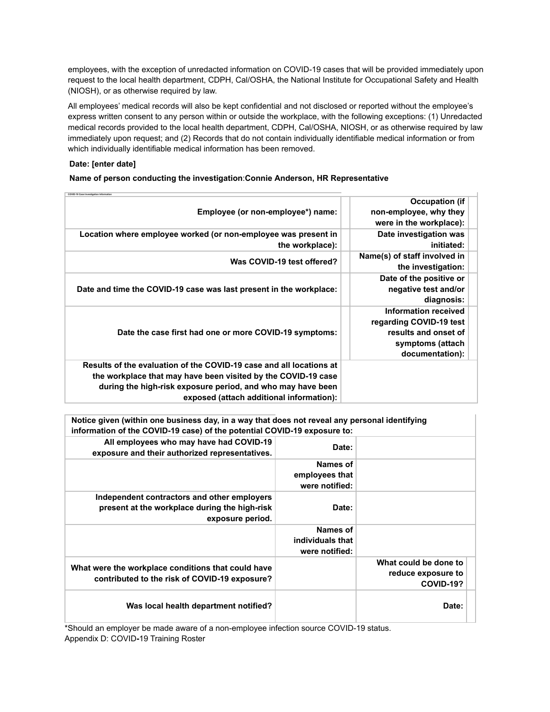employees, with the exception of unredacted information on COVID-19 cases that will be provided immediately upon request to the local health department, CDPH, Cal/OSHA, the National Institute for Occupational Safety and Health (NIOSH), or as otherwise required by law.

All employees' medical records will also be kept confidential and not disclosed or reported without the employee's express written consent to any person within or outside the workplace, with the following exceptions: (1) Unredacted medical records provided to the local health department, CDPH, Cal/OSHA, NIOSH, or as otherwise required by law immediately upon request; and (2) Records that do not contain individually identifiable medical information or from which individually identifiable medical information has been removed.

# **Date: [enter date]**

# **Name of person conducting the investigation**:**Connie Anderson, HR Representative**

| <b>Occupation (if</b><br>non-employee, why they<br>were in the workplace):                                     |
|----------------------------------------------------------------------------------------------------------------|
| Date investigation was<br>initiated:                                                                           |
| Name(s) of staff involved in<br>the investigation:                                                             |
| Date of the positive or<br>negative test and/or<br>diagnosis:                                                  |
| Information received<br>regarding COVID-19 test<br>results and onset of<br>symptoms (attach<br>documentation): |
|                                                                                                                |
|                                                                                                                |

**Notice given (within one business day, in a way that does not reveal any personal identifying information of the COVID-19 case) of the potential COVID-19 exposure to:**

|                                                          | Date:            | All employees who may have had COVID-19<br>exposure and their authorized representatives.           |
|----------------------------------------------------------|------------------|-----------------------------------------------------------------------------------------------------|
|                                                          | Names of         |                                                                                                     |
|                                                          | employees that   |                                                                                                     |
|                                                          | were notified:   |                                                                                                     |
|                                                          |                  | Independent contractors and other employers                                                         |
|                                                          | Date:            | present at the workplace during the high-risk<br>exposure period.                                   |
|                                                          | Names of         |                                                                                                     |
|                                                          | individuals that |                                                                                                     |
|                                                          | were notified:   |                                                                                                     |
| What could be done to<br>reduce exposure to<br>COVID-19? |                  | What were the workplace conditions that could have<br>contributed to the risk of COVID-19 exposure? |
| Date:                                                    |                  | Was local health department notified?                                                               |

\*Should an employer be made aware of a non-employee infection source COVID-19 status. Appendix D: COVID**-**19 Training Roster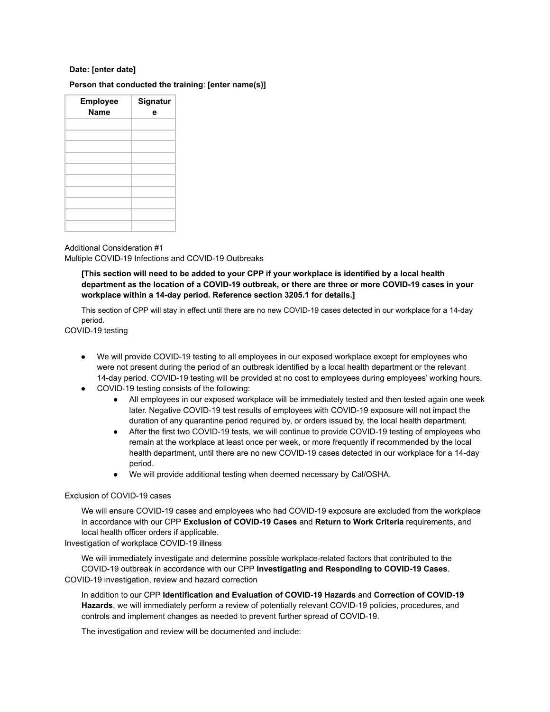# **Date: [enter date]**

# **Person that conducted the training**: **[enter name(s)]**

| <b>Employee</b><br><b>Name</b> | Signatur<br>e |
|--------------------------------|---------------|
|                                |               |
|                                |               |
|                                |               |
|                                |               |
|                                |               |
|                                |               |

Additional Consideration #1 Multiple COVID-19 Infections and COVID-19 Outbreaks

**[This section will need to be added to your CPP if your workplace is identified by a local health department as the location of a COVID-19 outbreak, or there are three or more COVID-19 cases in your workplace within a 14-day period. Reference section 3205.1 for details.]**

This section of CPP will stay in effect until there are no new COVID-19 cases detected in our workplace for a 14-day period.

COVID-19 testing

- We will provide COVID-19 testing to all employees in our exposed workplace except for employees who were not present during the period of an outbreak identified by a local health department or the relevant 14-day period. COVID-19 testing will be provided at no cost to employees during employees' working hours.
- COVID-19 testing consists of the following:
	- All employees in our exposed workplace will be immediately tested and then tested again one week later. Negative COVID-19 test results of employees with COVID-19 exposure will not impact the duration of any quarantine period required by, or orders issued by, the local health department.
	- After the first two COVID-19 tests, we will continue to provide COVID-19 testing of employees who remain at the workplace at least once per week, or more frequently if recommended by the local health department, until there are no new COVID-19 cases detected in our workplace for a 14-day period.
	- We will provide additional testing when deemed necessary by Cal/OSHA.

### Exclusion of COVID-19 cases

We will ensure COVID-19 cases and employees who had COVID-19 exposure are excluded from the workplace in accordance with our CPP **Exclusion of COVID-19 Cases** and **Return to Work Criteria** requirements, and local health officer orders if applicable.

Investigation of workplace COVID-19 illness

We will immediately investigate and determine possible workplace-related factors that contributed to the COVID-19 outbreak in accordance with our CPP **Investigating and Responding to COVID-19 Cases**. COVID-19 investigation, review and hazard correction

In addition to our CPP **Identification and Evaluation of COVID-19 Hazards** and **Correction of COVID-19 Hazards**, we will immediately perform a review of potentially relevant COVID-19 policies, procedures, and controls and implement changes as needed to prevent further spread of COVID-19.

The investigation and review will be documented and include: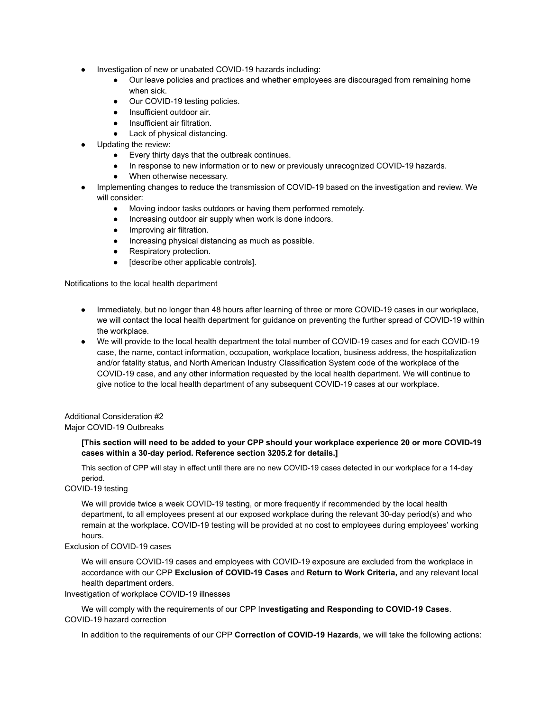- Investigation of new or unabated COVID-19 hazards including:
	- Our leave policies and practices and whether employees are discouraged from remaining home when sick.
	- Our COVID-19 testing policies.
	- Insufficient outdoor air.
	- Insufficient air filtration.
	- Lack of physical distancing.
- Updating the review:
	- Every thirty days that the outbreak continues.
	- In response to new information or to new or previously unrecognized COVID-19 hazards.
	- When otherwise necessary.
- Implementing changes to reduce the transmission of COVID-19 based on the investigation and review. We will consider:
	- Moving indoor tasks outdoors or having them performed remotely.
	- Increasing outdoor air supply when work is done indoors.
	- Improving air filtration.
	- Increasing physical distancing as much as possible.
	- Respiratory protection.
	- [describe other applicable controls].

Notifications to the local health department

- Immediately, but no longer than 48 hours after learning of three or more COVID-19 cases in our workplace, we will contact the local health department for guidance on preventing the further spread of COVID-19 within the workplace.
- We will provide to the local health department the total number of COVID-19 cases and for each COVID-19 case, the name, contact information, occupation, workplace location, business address, the hospitalization and/or fatality status, and North American Industry Classification System code of the workplace of the COVID-19 case, and any other information requested by the local health department. We will continue to give notice to the local health department of any subsequent COVID-19 cases at our workplace.

Additional Consideration #2 Major COVID-19 Outbreaks

### **[This section will need to be added to your CPP should your workplace experience 20 or more COVID-19 cases within a 30-day period. Reference section 3205.2 for details.]**

This section of CPP will stay in effect until there are no new COVID-19 cases detected in our workplace for a 14-day period.

COVID-19 testing

We will provide twice a week COVID-19 testing, or more frequently if recommended by the local health department, to all employees present at our exposed workplace during the relevant 30-day period(s) and who remain at the workplace. COVID-19 testing will be provided at no cost to employees during employees' working hours.

### Exclusion of COVID-19 cases

We will ensure COVID-19 cases and employees with COVID-19 exposure are excluded from the workplace in accordance with our CPP **Exclusion of COVID-19 Cases** and **Return to Work Criteria,** and any relevant local health department orders.

Investigation of workplace COVID-19 illnesses

We will comply with the requirements of our CPP I**nvestigating and Responding to COVID-19 Cases**. COVID-19 hazard correction

In addition to the requirements of our CPP **Correction of COVID-19 Hazards**, we will take the following actions: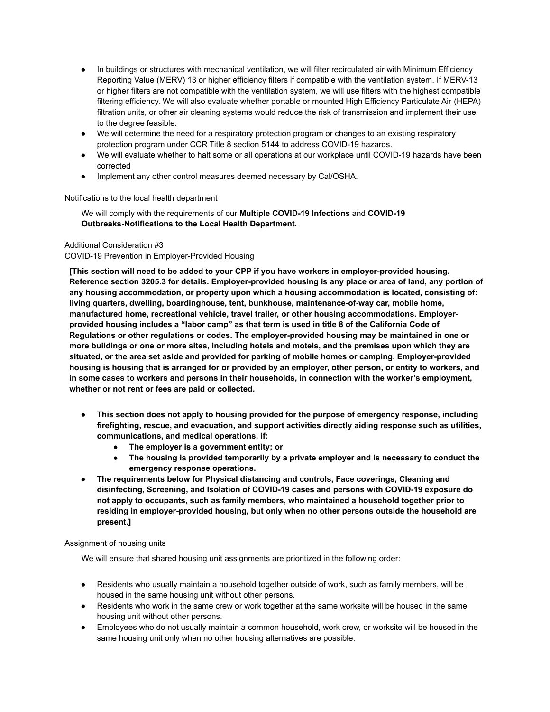- In buildings or structures with mechanical ventilation, we will filter recirculated air with Minimum Efficiency Reporting Value (MERV) 13 or higher efficiency filters if compatible with the ventilation system. If MERV-13 or higher filters are not compatible with the ventilation system, we will use filters with the highest compatible filtering efficiency. We will also evaluate whether portable or mounted High Efficiency Particulate Air (HEPA) filtration units, or other air cleaning systems would reduce the risk of transmission and implement their use to the degree feasible.
- We will determine the need for a respiratory protection program or changes to an existing respiratory protection program under CCR Title 8 section 5144 to address COVID-19 hazards.
- We will evaluate whether to halt some or all operations at our workplace until COVID-19 hazards have been corrected
- Implement any other control measures deemed necessary by Cal/OSHA.

# Notifications to the local health department

We will comply with the requirements of our **Multiple COVID-19 Infections** and **COVID-19 Outbreaks-Notifications to the Local Health Department.**

# Additional Consideration #3

# COVID-19 Prevention in Employer-Provided Housing

**[This section will need to be added to your CPP if you have workers in employer-provided housing. Reference section 3205.3 for details. Employer-provided housing is any place or area of land, any portion of any housing accommodation, or property upon which a housing accommodation is located, consisting of: living quarters, dwelling, boardinghouse, tent, bunkhouse, maintenance-of-way car, mobile home, manufactured home, recreational vehicle, travel trailer, or other housing accommodations. Employerprovided housing includes a "labor camp" as that term is used in title 8 of the California Code of Regulations or other regulations or codes. The employer-provided housing may be maintained in one or more buildings or one or more sites, including hotels and motels, and the premises upon which they are situated, or the area set aside and provided for parking of mobile homes or camping. Employer-provided housing is housing that is arranged for or provided by an employer, other person, or entity to workers, and in some cases to workers and persons in their households, in connection with the worker's employment, whether or not rent or fees are paid or collected.**

- **This section does not apply to housing provided for the purpose of emergency response, including firefighting, rescue, and evacuation, and support activities directly aiding response such as utilities, communications, and medical operations, if:**
	- **The employer is a government entity; or**
	- **The housing is provided temporarily by a private employer and is necessary to conduct the emergency response operations.**
- **The requirements below for Physical distancing and controls, Face coverings, Cleaning and disinfecting, Screening, and Isolation of COVID-19 cases and persons with COVID-19 exposure do not apply to occupants, such as family members, who maintained a household together prior to residing in employer-provided housing, but only when no other persons outside the household are present.]**

### Assignment of housing units

We will ensure that shared housing unit assignments are prioritized in the following order:

- Residents who usually maintain a household together outside of work, such as family members, will be housed in the same housing unit without other persons.
- Residents who work in the same crew or work together at the same worksite will be housed in the same housing unit without other persons.
- Employees who do not usually maintain a common household, work crew, or worksite will be housed in the same housing unit only when no other housing alternatives are possible.